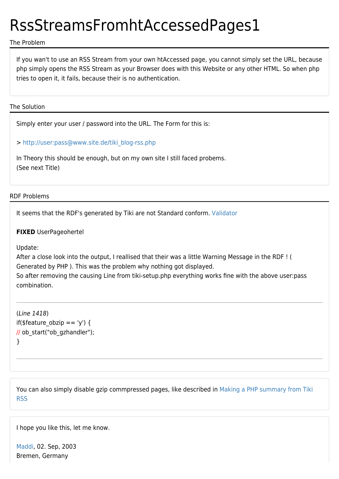## RssStreamsFromhtAccessedPages1

## The Problem

If you wan't to use an RSS Stream from your own htAccessed page, you cannot simply set the URL, because php simply opens the RSS Stream as your Browser does with this Website or any other HTML. So when php tries to open it, it fails, because their is no authentication.

## The Solution

Simply enter your user / password into the URL. The Form for this is:

> [http://user:pass@www.site.de/tiki\\_blog-rss.php](http://user:pass@www.site.de/tiki_blog-rss.php)

In Theory this should be enough, but on my own site I still faced probems. (See next Title)

## RDF Problems

It seems that the RDF's generated by Tiki are not Standard conform. [Validator](http://www.w3.org/RDF/Validator/ARPServlet?URI=http://www.tiki.org/tiki-image_galleries_rss.php)

**FIXED** UserPageohertel

Update:

After a close look into the output, I reallised that their was a little Warning Message in the RDF ! ( Generated by PHP ). This was the problem why nothing got displayed. So after removing the causing Line from tiki-setup.php everything works fine with the above user:pass

combination.

(Line 1418) if(\$feature\_obzip == 'y') { // ob\_start("ob\_gzhandler"); }

You can also simply disable gzip commpressed pages, like described in [Making a PHP summary from Tiki](https://tiki.org/Making-a-PHP-summary-from-Tiki-RSS) [RSS](https://tiki.org/Making-a-PHP-summary-from-Tiki-RSS)

I hope you like this, let me know.

[Maddi,](http://tikiwiki.org/tiki-user_information.php?view_user=Maddi) 02. Sep, 2003 Bremen, Germany